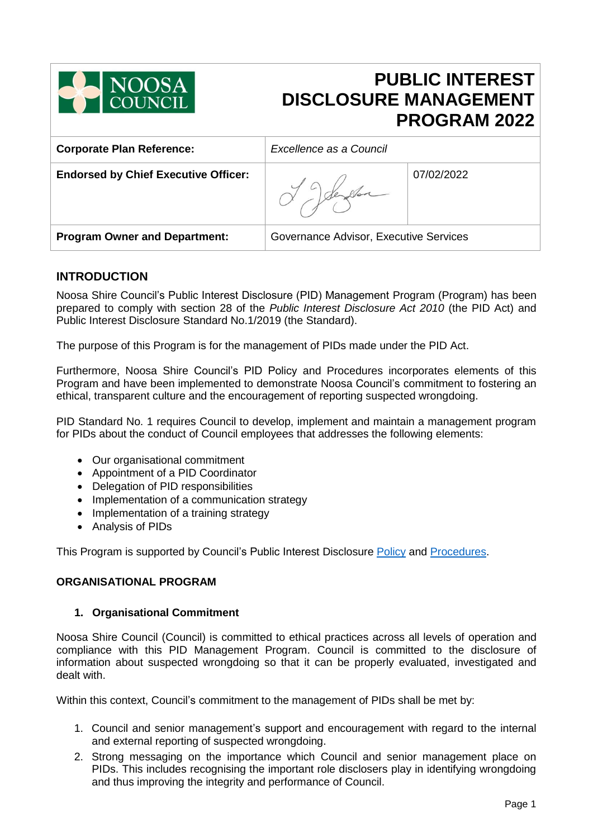

# **PUBLIC INTEREST DISCLOSURE MANAGEMENT PROGRAM 2022**

| <b>Corporate Plan Reference:</b>            | Excellence as a Council                |            |
|---------------------------------------------|----------------------------------------|------------|
| <b>Endorsed by Chief Executive Officer:</b> |                                        | 07/02/2022 |
| <b>Program Owner and Department:</b>        | Governance Advisor, Executive Services |            |

## **INTRODUCTION**

Noosa Shire Council's Public Interest Disclosure (PID) Management Program (Program) has been prepared to comply with section 28 of the *Public Interest Disclosure Act 2010* (the PID Act) and Public Interest Disclosure Standard No.1/2019 (the Standard).

The purpose of this Program is for the management of PIDs made under the PID Act.

Furthermore, Noosa Shire Council's PID Policy and Procedures incorporates elements of this Program and have been implemented to demonstrate Noosa Council's commitment to fostering an ethical, transparent culture and the encouragement of reporting suspected wrongdoing.

PID Standard No. 1 requires Council to develop, implement and maintain a management program for PIDs about the conduct of Council employees that addresses the following elements:

- Our organisational commitment
- Appointment of a PID Coordinator
- Delegation of PID responsibilities
- Implementation of a communication strategy
- Implementation of a training strategy
- Analysis of PIDs

This Program is supported by Council's Public Interest Disclosure [Policy](https://www.noosa.qld.gov.au/downloads/file/978/public-interest-disclosure-policy-2017) and [Procedures.](https://www.noosa.qld.gov.au/downloads/file/979/public-interest-disclosure-procedure-2-0-for-ceo-signoff)

## **ORGANISATIONAL PROGRAM**

## **1. Organisational Commitment**

Noosa Shire Council (Council) is committed to ethical practices across all levels of operation and compliance with this PID Management Program. Council is committed to the disclosure of information about suspected wrongdoing so that it can be properly evaluated, investigated and dealt with.

Within this context, Council's commitment to the management of PIDs shall be met by:

- 1. Council and senior management's support and encouragement with regard to the internal and external reporting of suspected wrongdoing.
- 2. Strong messaging on the importance which Council and senior management place on PIDs. This includes recognising the important role disclosers play in identifying wrongdoing and thus improving the integrity and performance of Council.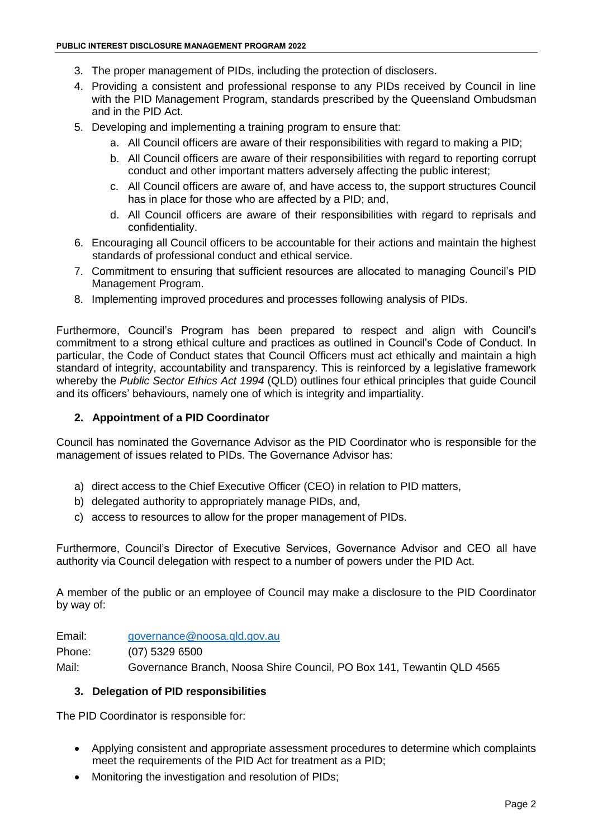- 3. The proper management of PIDs, including the protection of disclosers.
- 4. Providing a consistent and professional response to any PIDs received by Council in line with the PID Management Program, standards prescribed by the Queensland Ombudsman and in the PID Act.
- 5. Developing and implementing a training program to ensure that:
	- a. All Council officers are aware of their responsibilities with regard to making a PID;
	- b. All Council officers are aware of their responsibilities with regard to reporting corrupt conduct and other important matters adversely affecting the public interest;
	- c. All Council officers are aware of, and have access to, the support structures Council has in place for those who are affected by a PID; and,
	- d. All Council officers are aware of their responsibilities with regard to reprisals and confidentiality.
- 6. Encouraging all Council officers to be accountable for their actions and maintain the highest standards of professional conduct and ethical service.
- 7. Commitment to ensuring that sufficient resources are allocated to managing Council's PID Management Program.
- 8. Implementing improved procedures and processes following analysis of PIDs.

Furthermore, Council's Program has been prepared to respect and align with Council's commitment to a strong ethical culture and practices as outlined in Council's Code of Conduct. In particular, the Code of Conduct states that Council Officers must act ethically and maintain a high standard of integrity, accountability and transparency. This is reinforced by a legislative framework whereby the *Public Sector Ethics Act 1994* (QLD) outlines four ethical principles that guide Council and its officers' behaviours, namely one of which is integrity and impartiality.

#### **2. Appointment of a PID Coordinator**

Council has nominated the Governance Advisor as the PID Coordinator who is responsible for the management of issues related to PIDs. The Governance Advisor has:

- a) direct access to the Chief Executive Officer (CEO) in relation to PID matters,
- b) delegated authority to appropriately manage PIDs, and,
- c) access to resources to allow for the proper management of PIDs.

Furthermore, Council's Director of Executive Services, Governance Advisor and CEO all have authority via Council delegation with respect to a number of powers under the PID Act.

A member of the public or an employee of Council may make a disclosure to the PID Coordinator by way of:

Email: [governance@noosa.qld.gov.au](mailto:governance@noosa.qld.gov.au)

Phone: (07) 5329 6500

Mail: Governance Branch, Noosa Shire Council, PO Box 141, Tewantin QLD 4565

#### **3. Delegation of PID responsibilities**

The PID Coordinator is responsible for:

- Applying consistent and appropriate assessment procedures to determine which complaints meet the requirements of the PID Act for treatment as a PID;
- Monitoring the investigation and resolution of PIDs;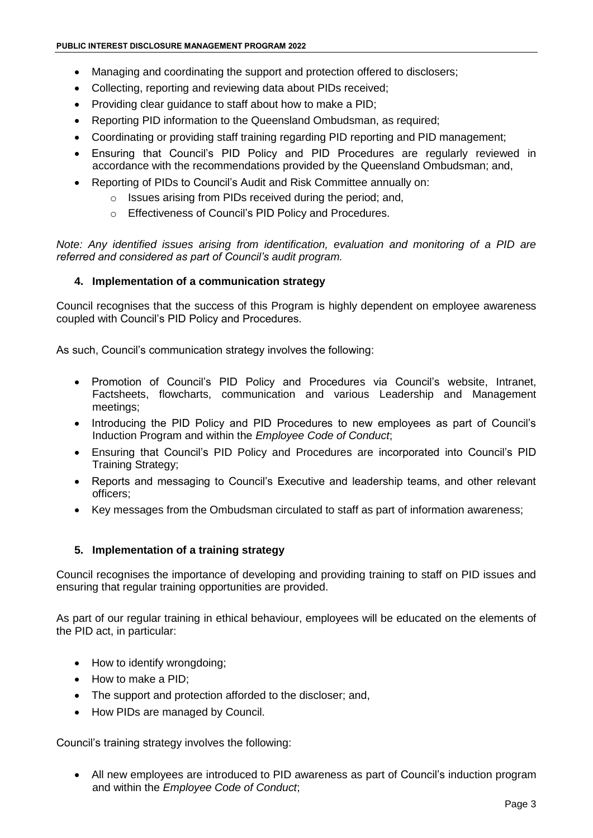- Managing and coordinating the support and protection offered to disclosers;
- Collecting, reporting and reviewing data about PIDs received;
- Providing clear guidance to staff about how to make a PID;
- Reporting PID information to the Queensland Ombudsman, as required;
- Coordinating or providing staff training regarding PID reporting and PID management;
- Ensuring that Council's PID Policy and PID Procedures are regularly reviewed in accordance with the recommendations provided by the Queensland Ombudsman; and,
- Reporting of PIDs to Council's Audit and Risk Committee annually on:
	- o Issues arising from PIDs received during the period; and,
	- o Effectiveness of Council's PID Policy and Procedures.

*Note: Any identified issues arising from identification, evaluation and monitoring of a PID are referred and considered as part of Council's audit program.*

#### **4. Implementation of a communication strategy**

Council recognises that the success of this Program is highly dependent on employee awareness coupled with Council's PID Policy and Procedures.

As such, Council's communication strategy involves the following:

- Promotion of Council's PID Policy and Procedures via Council's website, Intranet, Factsheets, flowcharts, communication and various Leadership and Management meetings;
- Introducing the PID Policy and PID Procedures to new employees as part of Council's Induction Program and within the *Employee Code of Conduct*;
- Ensuring that Council's PID Policy and Procedures are incorporated into Council's PID Training Strategy;
- Reports and messaging to Council's Executive and leadership teams, and other relevant officers;
- Key messages from the Ombudsman circulated to staff as part of information awareness;

#### **5. Implementation of a training strategy**

Council recognises the importance of developing and providing training to staff on PID issues and ensuring that regular training opportunities are provided.

As part of our regular training in ethical behaviour, employees will be educated on the elements of the PID act, in particular:

- How to identify wrongdoing:
- How to make a PID;
- The support and protection afforded to the discloser; and,
- How PIDs are managed by Council.

Council's training strategy involves the following:

 All new employees are introduced to PID awareness as part of Council's induction program and within the *Employee Code of Conduct*;